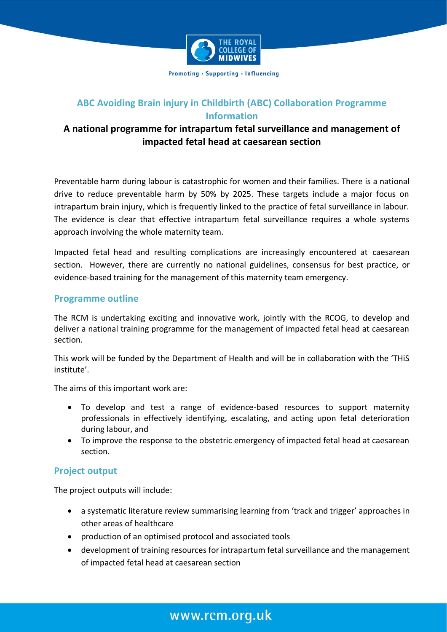

Promoting · Supporting · Influencing

# **ABC Avoiding Brain injury in Childbirth (ABC) Collaboration Programme Information**

## **A national programme for intrapartum fetal surveillance and management of impacted fetal head at caesarean section**

Preventable harm during labour is catastrophic for women and their families. There is a national drive to reduce preventable harm by 50% by 2025. These targets include a major focus on intrapartum brain injury, which is frequently linked to the practice of fetal surveillance in labour. The evidence is clear that effective intrapartum fetal surveillance requires a whole systems approach involving the whole maternity team.

Impacted fetal head and resulting complications are increasingly encountered at caesarean section. However, there are currently no national guidelines, consensus for best practice, or evidence-based training for the management of this maternity team emergency.

#### **Programme outline**

The RCM is undertaking exciting and innovative work, jointly with the RCOG, to develop and deliver a national training programme for the management of impacted fetal head at caesarean section.

This work will be funded by the Department of Health and will be in collaboration with the 'THiS institute'.

The aims of this important work are:

- To develop and test a range of evidence-based resources to support maternity professionals in effectively identifying, escalating, and acting upon fetal deterioration during labour, and
- To improve the response to the obstetric emergency of impacted fetal head at caesarean section.

#### **Project output**

The project outputs will include:

- a systematic literature review summarising learning from 'track and trigger' approaches in other areas of healthcare
- production of an optimised protocol and associated tools
- development of training resources for intrapartum fetal surveillance and the management of impacted fetal head at caesarean section

# www.rcm.org.uk